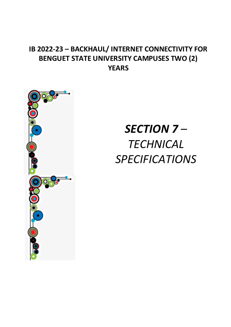### **IB 2022-23 – BACKHAUL/ INTERNET CONNECTIVITY FOR BENGUET STATE UNIVERSITY CAMPUSES TWO (2) YEARS**



# *SECTION 7 – TECHNICAL SPECIFICATIONS*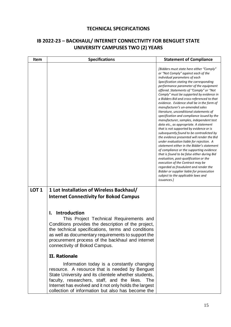#### **TECHNICAL SPECIFICATIONS**

#### **IB 2022-23 – BACKHAUL/ INTERNET CONNECTIVITY FOR BENGUET STATE UNIVERSITY CAMPUSES TWO (2) YEARS**

| Item             | <b>Specifications</b>                                                                                                                                                                                                                                                                                                                                                                                                                                                                                                                                                                                                                                                                                                                                                                 | <b>Statement of Compliance</b>                                                                                                                                                                                                                                                                                                                                                                                                                                                                                                                                                                                                                                                                                                                                                                                                                                                                                                                                                                                                                                                                                                                              |
|------------------|---------------------------------------------------------------------------------------------------------------------------------------------------------------------------------------------------------------------------------------------------------------------------------------------------------------------------------------------------------------------------------------------------------------------------------------------------------------------------------------------------------------------------------------------------------------------------------------------------------------------------------------------------------------------------------------------------------------------------------------------------------------------------------------|-------------------------------------------------------------------------------------------------------------------------------------------------------------------------------------------------------------------------------------------------------------------------------------------------------------------------------------------------------------------------------------------------------------------------------------------------------------------------------------------------------------------------------------------------------------------------------------------------------------------------------------------------------------------------------------------------------------------------------------------------------------------------------------------------------------------------------------------------------------------------------------------------------------------------------------------------------------------------------------------------------------------------------------------------------------------------------------------------------------------------------------------------------------|
|                  |                                                                                                                                                                                                                                                                                                                                                                                                                                                                                                                                                                                                                                                                                                                                                                                       | [Bidders must state here either "Comply"<br>or "Not Comply" against each of the<br>individual parameters of each<br>Specification stating the corresponding<br>performance parameter of the equipment<br>offered. Statements of "Comply" or "Not<br>Comply" must be supported by evidence in<br>a Bidders Bid and cross-referenced to that<br>evidence. Evidence shall be in the form of<br>manufacturer's un-amended sales<br>literature, unconditional statements of<br>specification and compliance issued by the<br>manufacturer, samples, independent test<br>data etc., as appropriate. A statement<br>that is not supported by evidence or is<br>subsequently found to be contradicted by<br>the evidence presented will render the Bid<br>under evaluation liable for rejection. A<br>statement either in the Bidder's statement<br>of compliance or the supporting evidence<br>that is found to be false either during Bid<br>evaluation, post-qualification or the<br>execution of the Contract may be<br>regarded as fraudulent and render the<br>Bidder or supplier liable for prosecution<br>subject to the applicable laws and<br>issuances.] |
| LOT <sub>1</sub> | 1 Lot Installation of Wireless Backhaul/<br><b>Internet Connectivity for Bokod Campus</b><br><b>Introduction</b><br>I.<br>This Project Technical Requirements and<br>Conditions provides the description of the project,<br>the technical specifications, terms and conditions<br>as well as documentary requirements to support the<br>procurement process of the backhaul and internet<br>connectivity of Bokod Campus.<br><b>II. Rationale</b><br>Information today is a constantly changing<br>resource. A resource that is needed by Benguet<br>State University and its clientele whether students,<br>faculty, researchers, staff, and the likes.<br><b>The</b><br>Internet has evolved and it not only holds the largest<br>collection of information but also has become the |                                                                                                                                                                                                                                                                                                                                                                                                                                                                                                                                                                                                                                                                                                                                                                                                                                                                                                                                                                                                                                                                                                                                                             |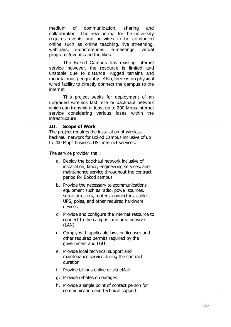|      | and<br>virtual                                                                                                                                |                                                                                                                                                                                                                                                                                                                                                                                                                                                                                                                                                                                                                                                                                                                                                                                                                                                                                                                                                                                                                                                                                                                                                                                                                                                   |
|------|-----------------------------------------------------------------------------------------------------------------------------------------------|---------------------------------------------------------------------------------------------------------------------------------------------------------------------------------------------------------------------------------------------------------------------------------------------------------------------------------------------------------------------------------------------------------------------------------------------------------------------------------------------------------------------------------------------------------------------------------------------------------------------------------------------------------------------------------------------------------------------------------------------------------------------------------------------------------------------------------------------------------------------------------------------------------------------------------------------------------------------------------------------------------------------------------------------------------------------------------------------------------------------------------------------------------------------------------------------------------------------------------------------------|
|      | The Bokod Campus has existing internet                                                                                                        |                                                                                                                                                                                                                                                                                                                                                                                                                                                                                                                                                                                                                                                                                                                                                                                                                                                                                                                                                                                                                                                                                                                                                                                                                                                   |
|      | This project seeks for deployment of an                                                                                                       |                                                                                                                                                                                                                                                                                                                                                                                                                                                                                                                                                                                                                                                                                                                                                                                                                                                                                                                                                                                                                                                                                                                                                                                                                                                   |
| III. | <b>Scope of Work</b>                                                                                                                          |                                                                                                                                                                                                                                                                                                                                                                                                                                                                                                                                                                                                                                                                                                                                                                                                                                                                                                                                                                                                                                                                                                                                                                                                                                                   |
|      |                                                                                                                                               |                                                                                                                                                                                                                                                                                                                                                                                                                                                                                                                                                                                                                                                                                                                                                                                                                                                                                                                                                                                                                                                                                                                                                                                                                                                   |
|      | installation, labor, engineering services, and<br>maintenance service throughout the contract<br>period for Bokod campus                      |                                                                                                                                                                                                                                                                                                                                                                                                                                                                                                                                                                                                                                                                                                                                                                                                                                                                                                                                                                                                                                                                                                                                                                                                                                                   |
|      | equipment such as radio, power sources,<br>surge arresters, routers, connectors, cable,<br>UPS, poles, and other required hardware<br>devices |                                                                                                                                                                                                                                                                                                                                                                                                                                                                                                                                                                                                                                                                                                                                                                                                                                                                                                                                                                                                                                                                                                                                                                                                                                                   |
|      | connect to the campus local area network<br>(LAN)                                                                                             |                                                                                                                                                                                                                                                                                                                                                                                                                                                                                                                                                                                                                                                                                                                                                                                                                                                                                                                                                                                                                                                                                                                                                                                                                                                   |
|      | other required permits required by the<br>government and LGU                                                                                  |                                                                                                                                                                                                                                                                                                                                                                                                                                                                                                                                                                                                                                                                                                                                                                                                                                                                                                                                                                                                                                                                                                                                                                                                                                                   |
|      | maintenance service during the contract<br>duration                                                                                           |                                                                                                                                                                                                                                                                                                                                                                                                                                                                                                                                                                                                                                                                                                                                                                                                                                                                                                                                                                                                                                                                                                                                                                                                                                                   |
|      |                                                                                                                                               |                                                                                                                                                                                                                                                                                                                                                                                                                                                                                                                                                                                                                                                                                                                                                                                                                                                                                                                                                                                                                                                                                                                                                                                                                                                   |
|      |                                                                                                                                               |                                                                                                                                                                                                                                                                                                                                                                                                                                                                                                                                                                                                                                                                                                                                                                                                                                                                                                                                                                                                                                                                                                                                                                                                                                                   |
|      | communication and technical support                                                                                                           |                                                                                                                                                                                                                                                                                                                                                                                                                                                                                                                                                                                                                                                                                                                                                                                                                                                                                                                                                                                                                                                                                                                                                                                                                                                   |
|      |                                                                                                                                               | medium of communication, sharing<br>collaboration. The new normal for the university<br>requires events and activities to be conducted<br>online such as online teaching, live streaming,<br>webinars, e-conferences, e-meetings,<br>programs/events and the likes.<br>service however, the resource is limited and<br>unstable due to distance, rugged terrains and<br>mountainous geography. Also, there is no physical<br>wired facility to directly connect the campus to the<br>internet.<br>upgraded wireless last mile or backhaul network<br>which can transmit at least up to 200 Mbps internet<br>service considering various loses within the<br>infrastructure.<br>The project requires the installation of wireless<br>backhaul network for Bokod Campus inclusive of up<br>to 200 Mbps business DSL internet services.<br>The service provider shall:<br>a. Deploy the backhaul network inclusive of<br>b. Provide the necessary telecommunications<br>c. Provide and configure the internet resource to<br>d. Comply with applicable laws on licenses and<br>e. Provide local technical support and<br>f. Provide billings online or via eMail<br>g. Provide rebates on outages<br>h. Provide a single point of contact person for |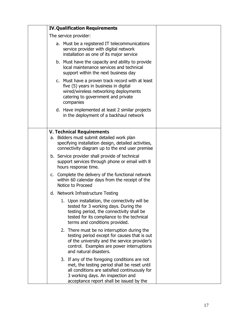|  | <b>IV. Qualification Requirements</b>                                                                                                                                                                                           |  |
|--|---------------------------------------------------------------------------------------------------------------------------------------------------------------------------------------------------------------------------------|--|
|  | The service provider:                                                                                                                                                                                                           |  |
|  | a. Must be a registered IT telecommunications<br>service provider with digital network<br>installation as one of its major service                                                                                              |  |
|  | b. Must have the capacity and ability to provide<br>local maintenance services and technical<br>support within the next business day                                                                                            |  |
|  | c. Must have a proven track record with at least<br>five (5) years in business in digital<br>wired/wireless networking deployments<br>catering to government and private<br>companies                                           |  |
|  | d. Have implemented at least 2 similar projects<br>in the deployment of a backhaul network                                                                                                                                      |  |
|  | <b>V. Technical Requirements</b>                                                                                                                                                                                                |  |
|  | a. Bidders must submit detailed work plan<br>specifying installation design, detailed activities,<br>connectivity diagram up to the end user premise                                                                            |  |
|  | b. Service provider shall provide of technical<br>support services through phone or email with 8<br>hours response time.                                                                                                        |  |
|  | c. Complete the delivery of the functional network<br>within 60 calendar days from the receipt of the<br>Notice to Proceed                                                                                                      |  |
|  | d. Network Infrastructure Testing                                                                                                                                                                                               |  |
|  | 1. Upon installation, the connectivity will be<br>tested for 3 working days. During the<br>testing period, the connectivity shall be<br>tested for its compliance to the technical<br>terms and conditions provided.            |  |
|  | 2. There must be no interruption during the<br>testing period except for causes that is out<br>of the university and the service provider's<br>control. Examples are power interruptions<br>and natural disasters.              |  |
|  | 3. If any of the foregoing conditions are not<br>met, the testing period shall be reset until<br>all conditions are satisfied continuously for<br>3 working days. An inspection and<br>acceptance report shall be issued by the |  |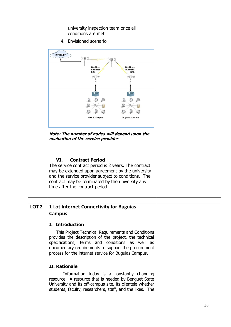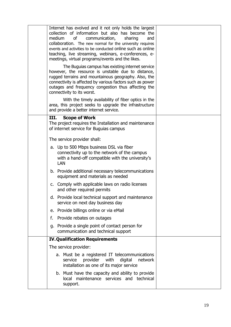| Internet has evolved and it not only holds the largest<br>collection of information but also has become the<br>medium<br>communication,<br>sharing<br>and<br>οf<br>collaboration. The new normal for the university requires<br>events and activities to be conducted online such as online<br>teaching, live streaming, webinars, e-conferences, e-<br>meetings, virtual programs/events and the likes. |  |
|----------------------------------------------------------------------------------------------------------------------------------------------------------------------------------------------------------------------------------------------------------------------------------------------------------------------------------------------------------------------------------------------------------|--|
| The Buguias campus has existing internet service<br>however, the resource is unstable due to distance,<br>rugged terrains and mountainous geography. Also, the<br>connectivity is affected by various factors such as power<br>outages and frequency congestion thus affecting the<br>connectivity to its worst.                                                                                         |  |
| With the timely availability of fiber optics in the<br>area, this project seeks to upgrade the infrastructure<br>and provide a better internet service.                                                                                                                                                                                                                                                  |  |
| III.<br><b>Scope of Work</b><br>The project requires the Installation and maintenance<br>of internet service for Buguias campus                                                                                                                                                                                                                                                                          |  |
| The service provider shall:                                                                                                                                                                                                                                                                                                                                                                              |  |
| a. Up to 500 Mbps business DSL via fiber<br>connectivity up to the network of the campus<br>with a hand-off compatible with the university's<br><b>LAN</b>                                                                                                                                                                                                                                               |  |
| b. Provide additional necessary telecommunications<br>equipment and materials as needed                                                                                                                                                                                                                                                                                                                  |  |
| c. Comply with applicable laws on radio licenses<br>and other required permits                                                                                                                                                                                                                                                                                                                           |  |
| d. Provide local technical support and maintenance<br>service on next day business day                                                                                                                                                                                                                                                                                                                   |  |
| e. Provide billings online or via eMail                                                                                                                                                                                                                                                                                                                                                                  |  |
| f. Provide rebates on outages                                                                                                                                                                                                                                                                                                                                                                            |  |
| g. Provide a single point of contact person for<br>communication and technical support                                                                                                                                                                                                                                                                                                                   |  |
| <b>IV. Qualification Requirements</b>                                                                                                                                                                                                                                                                                                                                                                    |  |
| The service provider:                                                                                                                                                                                                                                                                                                                                                                                    |  |
| a. Must be a registered IT telecommunications<br>provider<br>with<br>digital<br>network<br>service<br>installation as one of its major service                                                                                                                                                                                                                                                           |  |
| b. Must have the capacity and ability to provide<br>local maintenance services and technical<br>support.                                                                                                                                                                                                                                                                                                 |  |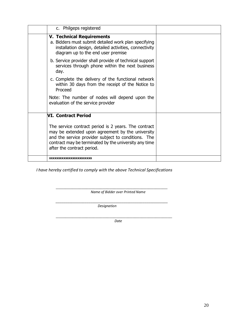| c. Philgeps registered                                                                                                                                                                                                                                 |  |
|--------------------------------------------------------------------------------------------------------------------------------------------------------------------------------------------------------------------------------------------------------|--|
| <b>V. Technical Requirements</b><br>a. Bidders must submit detailed work plan specifying<br>installation design, detailed activities, connectivity<br>diagram up to the end user premise                                                               |  |
| b. Service provider shall provide of technical support<br>services through phone within the next business<br>day.                                                                                                                                      |  |
| c. Complete the delivery of the functional network<br>within 30 days from the receipt of the Notice to<br>Proceed                                                                                                                                      |  |
| Note: The number of nodes will depend upon the<br>evaluation of the service provider                                                                                                                                                                   |  |
| <b>VI. Contract Period</b>                                                                                                                                                                                                                             |  |
| The service contract period is 2 years. The contract<br>may be extended upon agreement by the university<br>and the service provider subject to conditions. The<br>contract may be terminated by the university any time<br>after the contract period. |  |
| XXXXXXXXXXXXXXXXXXXXXXXX                                                                                                                                                                                                                               |  |

 *I have hereby certified to comply with the above Technical Specifications*

\_\_\_\_\_\_\_\_\_\_\_\_\_\_\_\_\_\_\_\_\_\_\_\_\_\_\_\_\_\_\_\_\_\_\_\_\_\_\_\_\_\_\_\_\_\_\_\_ *Name of Bidder over Printed Name*

*\_\_\_\_\_\_\_\_\_\_\_\_\_\_\_\_\_\_\_\_\_\_\_\_\_\_\_\_\_\_\_\_\_\_\_\_\_\_\_\_\_\_\_\_\_\_\_\_\_\_\_\_\_\_\_\_\_\_ Designation*

\_\_\_\_\_\_\_\_\_\_\_\_\_\_\_\_\_\_\_\_\_\_\_\_\_\_\_\_\_\_\_\_\_\_\_\_\_\_\_\_\_\_\_\_\_\_\_\_\_\_ *Date*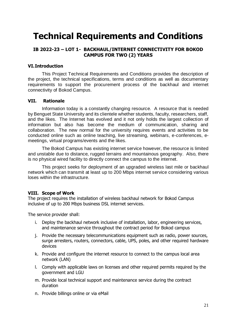## **Technical Requirements and Conditions**

#### **IB 2022-23 – LOT 1- BACKHAUL/INTERNET CONNECTIVITY FOR BOKOD CAMPUS FOR TWO (2) YEARS**

#### **VI.Introduction**

This Project Technical Requirements and Conditions provides the description of the project, the technical specifications, terms and conditions as well as documentary requirements to support the procurement process of the backhaul and internet connectivity of Bokod Campus.

#### **VII. Rationale**

Information today is a constantly changing resource. A resource that is needed by Benguet State University and its clientele whether students, faculty, researchers, staff, and the likes. The Internet has evolved and it not only holds the largest collection of information but also has become the medium of communication, sharing and collaboration. The new normal for the university requires events and activities to be conducted online such as online teaching, live streaming, webinars, e-conferences, emeetings, virtual programs/events and the likes.

The Bokod Campus has existing internet service however, the resource is limited and unstable due to distance, rugged terrains and mountainous geography. Also, there is no physical wired facility to directly connect the campus to the internet.

This project seeks for deployment of an upgraded wireless last mile or backhaul network which can transmit at least up to 200 Mbps internet service considering various loses within the infrastructure.

#### **VIII. Scope of Work**

The project requires the installation of wireless backhaul network for Bokod Campus inclusive of up to 200 Mbps business DSL internet services.

The service provider shall:

- i. Deploy the backhaul network inclusive of installation, labor, engineering services, and maintenance service throughout the contract period for Bokod campus
- j. Provide the necessary telecommunications equipment such as radio, power sources, surge arresters, routers, connectors, cable, UPS, poles, and other required hardware devices
- k. Provide and configure the internet resource to connect to the campus local area network (LAN)
- l. Comply with applicable laws on licenses and other required permits required by the government and LGU
- m. Provide local technical support and maintenance service during the contract duration
- n. Provide billings online or via eMail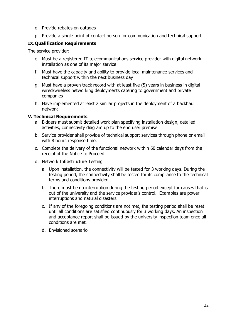- o. Provide rebates on outages
- p. Provide a single point of contact person for communication and technical support

#### **IX.Qualification Requirements**

The service provider:

- e. Must be a registered IT telecommunications service provider with digital network installation as one of its major service
- f. Must have the capacity and ability to provide local maintenance services and technical support within the next business day
- g. Must have a proven track record with at least five (5) years in business in digital wired/wireless networking deployments catering to government and private companies
- h. Have implemented at least 2 similar projects in the deployment of a backhaul network

#### **V. Technical Requirements**

- a. Bidders must submit detailed work plan specifying installation design, detailed activities, connectivity diagram up to the end user premise
- b. Service provider shall provide of technical support services through phone or email with 8 hours response time.
- c. Complete the delivery of the functional network within 60 calendar days from the receipt of the Notice to Proceed
- d. Network Infrastructure Testing
	- a. Upon installation, the connectivity will be tested for 3 working days. During the testing period, the connectivity shall be tested for its compliance to the technical terms and conditions provided.
	- b. There must be no interruption during the testing period except for causes that is out of the university and the service provider's control. Examples are power interruptions and natural disasters.
	- c. If any of the foregoing conditions are not met, the testing period shall be reset until all conditions are satisfied continuously for 3 working days. An inspection and acceptance report shall be issued by the university inspection team once all conditions are met.
	- d. Envisioned scenario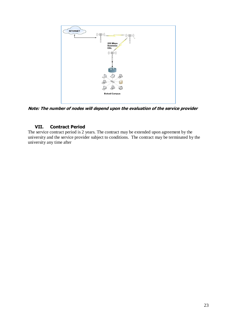

**Note: The number of nodes will depend upon the evaluation of the service provider**

#### **VII. Contract Period**

The service contract period is 2 years. The contract may be extended upon agreement by the university and the service provider subject to conditions. The contract may be terminated by the university any time after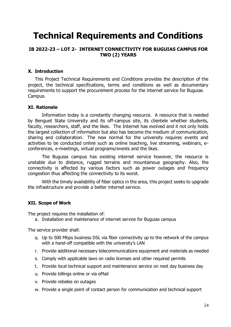## **Technical Requirements and Conditions**

#### **IB 2022-23 – LOT 2- INTERNET CONNECTIVITY FOR BUGUIAS CAMPUS FOR TWO (2) YEARS**

#### **X. Introduction**

This Project Technical Requirements and Conditions provides the description of the project, the technical specifications, terms and conditions as well as documentary requirements to support the procurement process for the internet service for Buguias Campus.

#### **XI. Rationale**

Information today is a constantly changing resource. A resource that is needed by Benguet State University and its off-campus site, its clientele whether students, faculty, researchers, staff, and the likes. The Internet has evolved and it not only holds the largest collection of information but also has become the medium of communication, sharing and collaboration. The new normal for the university requires events and activities to be conducted online such as online teaching, live streaming, webinars, econferences, e-meetings, virtual programs/events and the likes.

The Buguias campus has existing internet service however, the resource is unstable due to distance, rugged terrains and mountainous geography. Also, the connectivity is affected by various factors such as power outages and frequency congestion thus affecting the connectivity to its worst.

With the timely availability of fiber optics in the area, this project seeks to upgrade the infrastructure and provide a better internet service.

#### **XII. Scope of Work**

The project requires the installation of:

a. Installation and maintenance of internet service for Buguias campus

The service provider shall:

- q. Up to 500 Mbps business DSL via fiber connectivity up to the network of the campus with a hand-off compatible with the university's LAN
- r. Provide additional necessary telecommunications equipment and materials as needed
- s. Comply with applicable laws on radio licenses and other required permits
- t. Provide local technical support and maintenance service on next day business day
- u. Provide billings online or via eMail
- v. Provide rebates on outages
- w. Provide a single point of contact person for communication and technical support